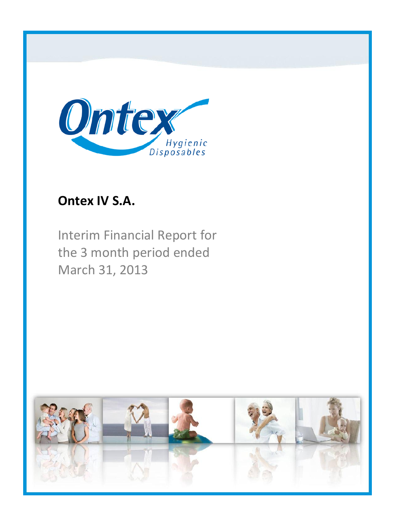

# **Ontex IV S.A.**

Interim Financial Report for the 3 month period ended March 31, 2013

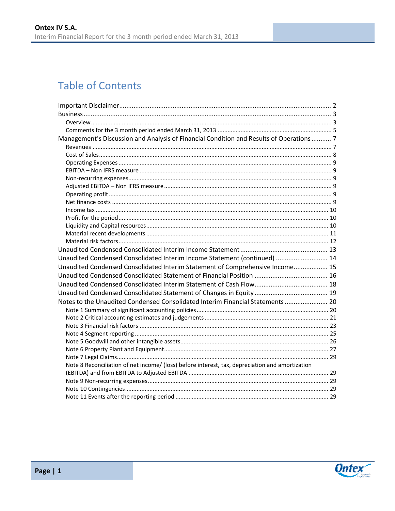# **Table of Contents**

| Management's Discussion and Analysis of Financial Condition and Results of Operations 7         |  |
|-------------------------------------------------------------------------------------------------|--|
|                                                                                                 |  |
|                                                                                                 |  |
|                                                                                                 |  |
|                                                                                                 |  |
|                                                                                                 |  |
|                                                                                                 |  |
|                                                                                                 |  |
|                                                                                                 |  |
|                                                                                                 |  |
|                                                                                                 |  |
|                                                                                                 |  |
|                                                                                                 |  |
|                                                                                                 |  |
|                                                                                                 |  |
| Unaudited Condensed Consolidated Interim Income Statement (continued)  14                       |  |
| Unaudited Condensed Consolidated Interim Statement of Comprehensive Income 15                   |  |
|                                                                                                 |  |
|                                                                                                 |  |
|                                                                                                 |  |
| Notes to the Unaudited Condensed Consolidated Interim Financial Statements  20                  |  |
|                                                                                                 |  |
|                                                                                                 |  |
|                                                                                                 |  |
|                                                                                                 |  |
|                                                                                                 |  |
|                                                                                                 |  |
|                                                                                                 |  |
| Note 8 Reconciliation of net income/ (loss) before interest, tax, depreciation and amortization |  |
|                                                                                                 |  |
|                                                                                                 |  |
|                                                                                                 |  |
|                                                                                                 |  |

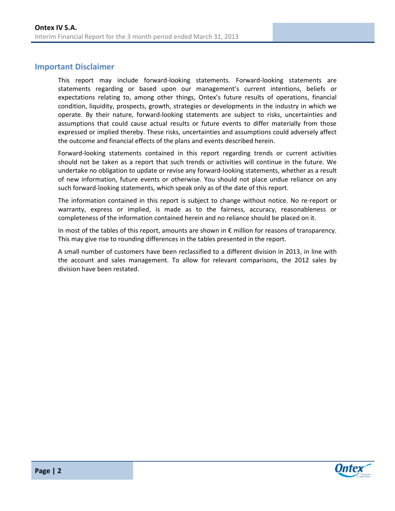### <span id="page-2-0"></span>**Important Disclaimer**

This report may include forward-looking statements. Forward-looking statements are statements regarding or based upon our management's current intentions, beliefs or expectations relating to, among other things, Ontex's future results of operations, financial condition, liquidity, prospects, growth, strategies or developments in the industry in which we operate. By their nature, forward-looking statements are subject to risks, uncertainties and assumptions that could cause actual results or future events to differ materially from those expressed or implied thereby. These risks, uncertainties and assumptions could adversely affect the outcome and financial effects of the plans and events described herein.

Forward-looking statements contained in this report regarding trends or current activities should not be taken as a report that such trends or activities will continue in the future. We undertake no obligation to update or revise any forward-looking statements, whether as a result of new information, future events or otherwise. You should not place undue reliance on any such forward-looking statements, which speak only as of the date of this report.

The information contained in this report is subject to change without notice. No re-report or warranty, express or implied, is made as to the fairness, accuracy, reasonableness or completeness of the information contained herein and no reliance should be placed on it.

In most of the tables of this report, amounts are shown in € million for reasons of transparency. This may give rise to rounding differences in the tables presented in the report.

A small number of customers have been reclassified to a different division in 2013, in line with the account and sales management. To allow for relevant comparisons, the 2012 sales by division have been restated.

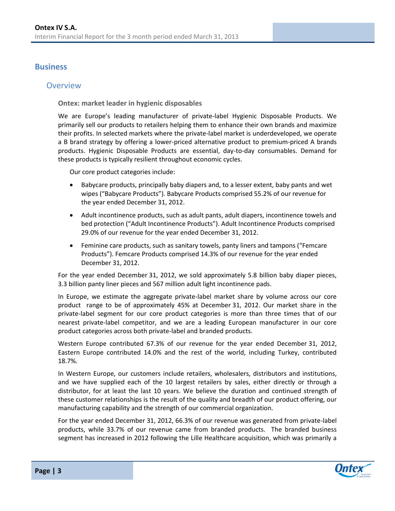### <span id="page-3-0"></span>**Business**

### <span id="page-3-1"></span>**Overview**

**Ontex: market leader in hygienic disposables**

We are Europe's leading manufacturer of private-label Hygienic Disposable Products. We primarily sell our products to retailers helping them to enhance their own brands and maximize their profits. In selected markets where the private-label market is underdeveloped, we operate a B brand strategy by offering a lower-priced alternative product to premium-priced A brands products. Hygienic Disposable Products are essential, day-to-day consumables. Demand for these products is typically resilient throughout economic cycles.

Our core product categories include:

- Babycare products, principally baby diapers and, to a lesser extent, baby pants and wet wipes ("Babycare Products"). Babycare Products comprised 55.2% of our revenue for the year ended December 31, 2012.
- Adult incontinence products, such as adult pants, adult diapers, incontinence towels and bed protection ("Adult Incontinence Products"). Adult Incontinence Products comprised 29.0% of our revenue for the year ended December 31, 2012.
- Feminine care products, such as sanitary towels, panty liners and tampons ("Femcare Products"). Femcare Products comprised 14.3% of our revenue for the year ended December 31, 2012.

For the year ended December 31, 2012, we sold approximately 5.8 billion baby diaper pieces, 3.3 billion panty liner pieces and 567 million adult light incontinence pads.

In Europe, we estimate the aggregate private-label market share by volume across our core product range to be of approximately 45% at December 31, 2012. Our market share in the private-label segment for our core product categories is more than three times that of our nearest private-label competitor, and we are a leading European manufacturer in our core product categories across both private-label and branded products.

Western Europe contributed 67.3% of our revenue for the year ended December 31, 2012, Eastern Europe contributed 14.0% and the rest of the world, including Turkey, contributed 18.7%.

In Western Europe, our customers include retailers, wholesalers, distributors and institutions, and we have supplied each of the 10 largest retailers by sales, either directly or through a distributor, for at least the last 10 years. We believe the duration and continued strength of these customer relationships is the result of the quality and breadth of our product offering, our manufacturing capability and the strength of our commercial organization.

For the year ended December 31, 2012, 66.3% of our revenue was generated from private-label products, while 33.7% of our revenue came from branded products. The branded business segment has increased in 2012 following the Lille Healthcare acquisition, which was primarily a

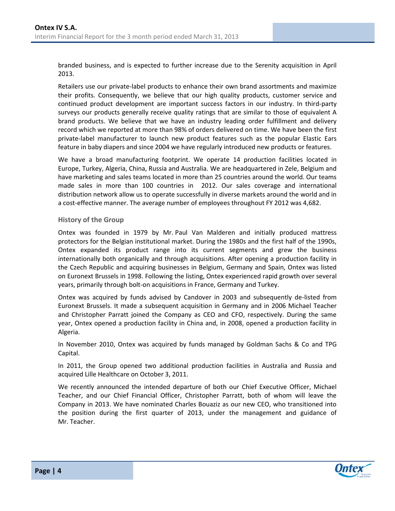branded business, and is expected to further increase due to the Serenity acquisition in April 2013.

Retailers use our private-label products to enhance their own brand assortments and maximize their profits. Consequently, we believe that our high quality products, customer service and continued product development are important success factors in our industry. In third-party surveys our products generally receive quality ratings that are similar to those of equivalent A brand products. We believe that we have an industry leading order fulfillment and delivery record which we reported at more than 98% of orders delivered on time. We have been the first private-label manufacturer to launch new product features such as the popular Elastic Ears feature in baby diapers and since 2004 we have regularly introduced new products or features.

We have a broad manufacturing footprint. We operate 14 production facilities located in Europe, Turkey, Algeria, China, Russia and Australia. We are headquartered in Zele, Belgium and have marketing and sales teams located in more than 25 countries around the world. Our teams made sales in more than 100 countries in 2012. Our sales coverage and international distribution network allow us to operate successfully in diverse markets around the world and in a cost-effective manner. The average number of employees throughout FY 2012 was 4,682.

#### **History of the Group**

Ontex was founded in 1979 by Mr. Paul Van Malderen and initially produced mattress protectors for the Belgian institutional market. During the 1980s and the first half of the 1990s, Ontex expanded its product range into its current segments and grew the business internationally both organically and through acquisitions. After opening a production facility in the Czech Republic and acquiring businesses in Belgium, Germany and Spain, Ontex was listed on Euronext Brussels in 1998. Following the listing, Ontex experienced rapid growth over several years, primarily through bolt-on acquisitions in France, Germany and Turkey.

Ontex was acquired by funds advised by Candover in 2003 and subsequently de-listed from Euronext Brussels. It made a subsequent acquisition in Germany and in 2006 Michael Teacher and Christopher Parratt joined the Company as CEO and CFO, respectively. During the same year, Ontex opened a production facility in China and, in 2008, opened a production facility in Algeria.

In November 2010, Ontex was acquired by funds managed by Goldman Sachs & Co and TPG Capital.

In 2011, the Group opened two additional production facilities in Australia and Russia and acquired Lille Healthcare on October 3, 2011.

We recently announced the intended departure of both our Chief Executive Officer, Michael Teacher, and our Chief Financial Officer, Christopher Parratt, both of whom will leave the Company in 2013. We have nominated Charles Bouaziz as our new CEO, who transitioned into the position during the first quarter of 2013, under the management and guidance of Mr. Teacher.

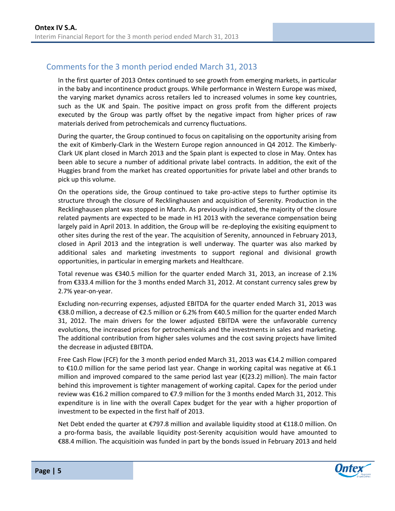# <span id="page-5-0"></span>Comments for the 3 month period ended March 31, 2013

In the first quarter of 2013 Ontex continued to see growth from emerging markets, in particular in the baby and incontinence product groups. While performance in Western Europe was mixed, the varying market dynamics across retailers led to increased volumes in some key countries, such as the UK and Spain. The positive impact on gross profit from the different projects executed by the Group was partly offset by the negative impact from higher prices of raw materials derived from petrochemicals and currency fluctuations.

During the quarter, the Group continued to focus on capitalising on the opportunity arising from the exit of Kimberly-Clark in the Western Europe region announced in Q4 2012. The Kimberly-Clark UK plant closed in March 2013 and the Spain plant is expected to close in May. Ontex has been able to secure a number of additional private label contracts. In addition, the exit of the Huggies brand from the market has created opportunities for private label and other brands to pick up this volume.

On the operations side, the Group continued to take pro-active steps to further optimise its structure through the closure of Recklinghausen and acquisition of Serenity. Production in the Recklinghausen plant was stopped in March. As previously indicated, the majority of the closure related payments are expected to be made in H1 2013 with the severance compensation being largely paid in April 2013. In addition, the Group will be re-deploying the exisiting equipment to other sites during the rest of the year. The acquisition of Serenity, announced in February 2013, closed in April 2013 and the integration is well underway. The quarter was also marked by additional sales and marketing investments to support regional and divisional growth opportunities, in particular in emerging markets and Healthcare.

Total revenue was €340.5 million for the quarter ended March 31, 2013, an increase of 2.1% from €333.4 million for the 3 months ended March 31, 2012. At constant currency sales grew by 2.7% year-on-year.

Excluding non-recurring expenses, adjusted EBITDA for the quarter ended March 31, 2013 was €38.0 million, a decrease of €2.5 million or 6.2% from €40.5 million for the quarter ended March 31, 2012. The main drivers for the lower adjusted EBITDA were the unfavorable currency evolutions, the increased prices for petrochemicals and the investments in sales and marketing. The additional contribution from higher sales volumes and the cost saving projects have limited the decrease in adjusted EBITDA.

Free Cash Flow (FCF) for the 3 month period ended March 31, 2013 was €14.2 million compared to €10.0 million for the same period last year. Change in working capital was negative at €6.1 million and improved compared to the same period last year ( $\epsilon$ (23.2) million). The main factor behind this improvement is tighter management of working capital. Capex for the period under review was €16.2 million compared to €7.9 million for the 3 months ended March 31, 2012. This expenditure is in line with the overall Capex budget for the year with a higher proportion of investment to be expected in the first half of 2013.

Net Debt ended the quarter at €797.8 million and available liquidity stood at €118.0 million. On a pro-forma basis, the available liquidity post-Serenity acquisition would have amounted to €88.4 million. The acquisitioin was funded in part by the bonds issued in February 2013 and held

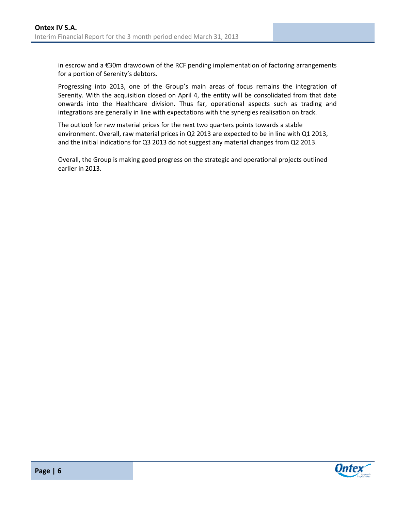in escrow and a €30m drawdown of the RCF pending implementation of factoring arrangements for a portion of Serenity's debtors.

Progressing into 2013, one of the Group's main areas of focus remains the integration of Serenity. With the acquisition closed on April 4, the entity will be consolidated from that date onwards into the Healthcare division. Thus far, operational aspects such as trading and integrations are generally in line with expectations with the synergies realisation on track.

The outlook for raw material prices for the next two quarters points towards a stable environment. Overall, raw material prices in Q2 2013 are expected to be in line with Q1 2013, and the initial indications for Q3 2013 do not suggest any material changes from Q2 2013.

Overall, the Group is making good progress on the strategic and operational projects outlined earlier in 2013.

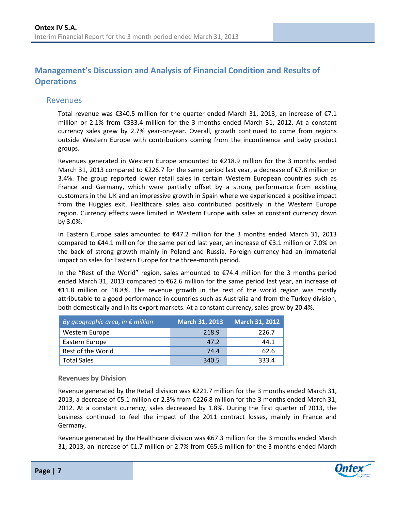# <span id="page-7-0"></span>**Management's Discussion and Analysis of Financial Condition and Results of Operations**

#### <span id="page-7-1"></span>Revenues

Total revenue was €340.5 million for the quarter ended March 31, 2013, an increase of €7.1 million or 2.1% from €333.4 million for the 3 months ended March 31, 2012. At a constant currency sales grew by 2.7% year-on-year. Overall, growth continued to come from regions outside Western Europe with contributions coming from the incontinence and baby product groups.

Revenues generated in Western Europe amounted to €218.9 million for the 3 months ended March 31, 2013 compared to €226.7 for the same period last year, a decrease of €7.8 million or 3.4%. The group reported lower retail sales in certain Western European countries such as France and Germany, which were partially offset by a strong performance from existing customers in the UK and an impressive growth in Spain where we experienced a positive impact from the Huggies exit. Healthcare sales also contributed positively in the Western Europe region. Currency effects were limited in Western Europe with sales at constant currency down by 3.0%.

In Eastern Europe sales amounted to €47.2 million for the 3 months ended March 31, 2013 compared to €44.1 million for the same period last year, an increase of €3.1 million or 7.0% on the back of strong growth mainly in Poland and Russia. Foreign currency had an immaterial impact on sales for Eastern Europe for the three-month period.

In the "Rest of the World" region, sales amounted to €74.4 million for the 3 months period ended March 31, 2013 compared to €62.6 million for the same period last year, an increase of €11.8 million or 18.8%. The revenue growth in the rest of the world region was mostly attributable to a good performance in countries such as Australia and from the Turkey division, both domestically and in its export markets. At a constant currency, sales grew by 20.4%.

| By geographic area, in $\epsilon$ million | <b>March 31, 2013</b> | <b>March 31, 2012</b> |
|-------------------------------------------|-----------------------|-----------------------|
| Western Europe                            | 218.9                 | 226.7                 |
| Eastern Europe                            | 47.2                  | 44.1                  |
| Rest of the World                         | 74.4                  | 62.6                  |
| <b>Total Sales</b>                        | 340.5                 | 333.4                 |

**Revenues by Division**

Revenue generated by the Retail division was €221.7 million for the 3 months ended March 31, 2013, a decrease of €5.1 million or 2.3% from €226.8 million for the 3 months ended March 31, 2012. At a constant currency, sales decreased by 1.8%. During the first quarter of 2013, the business continued to feel the impact of the 2011 contract losses, mainly in France and Germany.

Revenue generated by the Healthcare division was €67.3 million for the 3 months ended March 31, 2013, an increase of €1.7 million or 2.7% from €65.6 million for the 3 months ended March

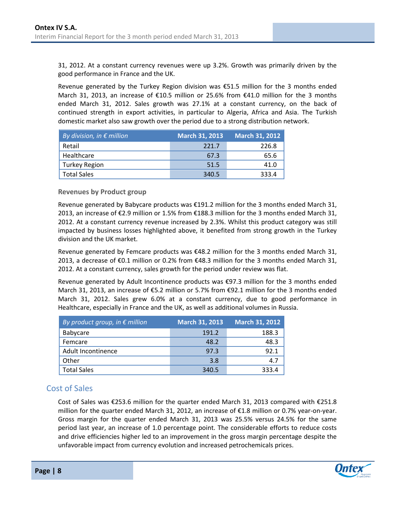31, 2012. At a constant currency revenues were up 3.2%. Growth was primarily driven by the good performance in France and the UK.

Revenue generated by the Turkey Region division was  $\epsilon$ 51.5 million for the 3 months ended March 31, 2013, an increase of €10.5 million or 25.6% from €41.0 million for the 3 months ended March 31, 2012. Sales growth was 27.1% at a constant currency, on the back of continued strength in export activities, in particular to Algeria, Africa and Asia. The Turkish domestic market also saw growth over the period due to a strong distribution network.

| By division, in $\epsilon$ million | <b>March 31, 2013</b> | <b>March 31, 2012</b> |
|------------------------------------|-----------------------|-----------------------|
| Retail                             | 221.7                 | 226.8                 |
| Healthcare                         | 67.3                  | 65.6                  |
| <b>Turkey Region</b>               | 51.5                  | 41.0                  |
| <b>Total Sales</b>                 | 340.5                 | 333.4                 |

**Revenues by Product group**

Revenue generated by Babycare products was €191.2 million for the 3 months ended March 31, 2013, an increase of €2.9 million or 1.5% from €188.3 million for the 3 months ended March 31, 2012. At a constant currency revenue increased by 2.3%. Whilst this product category was still impacted by business losses highlighted above, it benefited from strong growth in the Turkey division and the UK market.

Revenue generated by Femcare products was  $£48.2$  million for the 3 months ended March 31, 2013, a decrease of €0.1 million or 0.2% from €48.3 million for the 3 months ended March 31, 2012. At a constant currency, sales growth for the period under review was flat.

Revenue generated by Adult Incontinence products was €97.3 million for the 3 months ended March 31, 2013, an increase of €5.2 million or 5.7% from €92.1 million for the 3 months ended March 31, 2012. Sales grew 6.0% at a constant currency, due to good performance in Healthcare, especially in France and the UK, as well as additional volumes in Russia.

| By product group, in $\epsilon$ million | <b>March 31, 2013</b> | <b>March 31, 2012</b> |
|-----------------------------------------|-----------------------|-----------------------|
| Babycare                                | 191.2                 | 188.3                 |
| Femcare                                 | 48.2                  | 48.3                  |
| Adult Incontinence                      | 97.3                  | 92.1                  |
| Other                                   | 3.8                   | 4.7                   |
| <b>Total Sales</b>                      | 340.5                 | 333.4                 |

# <span id="page-8-0"></span>Cost of Sales

Cost of Sales was €253.6 million for the quarter ended March 31, 2013 compared with €251.8 million for the quarter ended March 31, 2012, an increase of €1.8 million or 0.7% year-on-year. Gross margin for the quarter ended March 31, 2013 was 25.5% versus 24.5% for the same period last year, an increase of 1.0 percentage point. The considerable efforts to reduce costs and drive efficiencies higher led to an improvement in the gross margin percentage despite the unfavorable impact from currency evolution and increased petrochemicals prices.

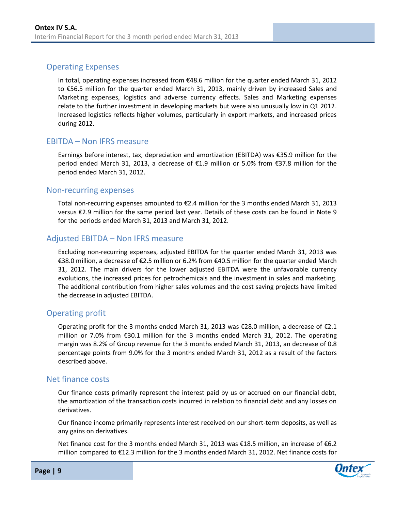# <span id="page-9-0"></span>Operating Expenses

In total, operating expenses increased from €48.6 million for the quarter ended March 31, 2012 to €56.5 million for the quarter ended March 31, 2013, mainly driven by increased Sales and Marketing expenses, logistics and adverse currency effects. Sales and Marketing expenses relate to the further investment in developing markets but were also unusually low in Q1 2012. Increased logistics reflects higher volumes, particularly in export markets, and increased prices during 2012.

### <span id="page-9-1"></span>EBITDA – Non IFRS measure

Earnings before interest, tax, depreciation and amortization (EBITDA) was €35.9 million for the period ended March 31, 2013, a decrease of €1.9 million or 5.0% from €37.8 million for the period ended March 31, 2012.

### <span id="page-9-2"></span>Non-recurring expenses

Total non-recurring expenses amounted to €2.4 million for the 3 months ended March 31, 2013 versus €2.9 million for the same period last year. Details of these costs can be found in Note 9 for the periods ended March 31, 2013 and March 31, 2012.

### <span id="page-9-3"></span>Adjusted EBITDA – Non IFRS measure

Excluding non-recurring expenses, adjusted EBITDA for the quarter ended March 31, 2013 was €38.0 million, a decrease of €2.5 million or 6.2% from €40.5 million for the quarter ended March 31, 2012. The main drivers for the lower adjusted EBITDA were the unfavorable currency evolutions, the increased prices for petrochemicals and the investment in sales and marketing. The additional contribution from higher sales volumes and the cost saving projects have limited the decrease in adjusted EBITDA.

### <span id="page-9-4"></span>Operating profit

Operating profit for the 3 months ended March 31, 2013 was €28.0 million, a decrease of €2.1 million or 7.0% from €30.1 million for the 3 months ended March 31, 2012. The operating margin was 8.2% of Group revenue for the 3 months ended March 31, 2013, an decrease of 0.8 percentage points from 9.0% for the 3 months ended March 31, 2012 as a result of the factors described above.

### <span id="page-9-5"></span>Net finance costs

Our finance costs primarily represent the interest paid by us or accrued on our financial debt, the amortization of the transaction costs incurred in relation to financial debt and any losses on derivatives.

Our finance income primarily represents interest received on our short-term deposits, as well as any gains on derivatives.

Net finance cost for the 3 months ended March 31, 2013 was €18.5 million, an increase of €6.2 million compared to €12.3 million for the 3 months ended March 31, 2012. Net finance costs for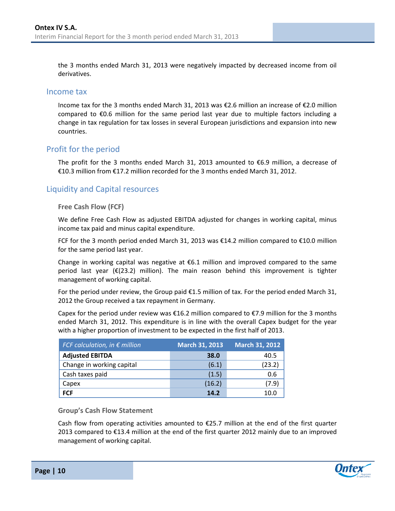the 3 months ended March 31, 2013 were negatively impacted by decreased income from oil derivatives.

### <span id="page-10-0"></span>Income tax

Income tax for the 3 months ended March 31, 2013 was €2.6 million an increase of €2.0 million compared to €0.6 million for the same period last year due to multiple factors including a change in tax regulation for tax losses in several European jurisdictions and expansion into new countries.

## <span id="page-10-1"></span>Profit for the period

The profit for the 3 months ended March 31, 2013 amounted to €6.9 million, a decrease of €10.3 million from €17.2 million recorded for the 3 months ended March 31, 2012.

# <span id="page-10-2"></span>Liquidity and Capital resources

#### **Free Cash Flow (FCF)**

We define Free Cash Flow as adjusted EBITDA adjusted for changes in working capital, minus income tax paid and minus capital expenditure.

FCF for the 3 month period ended March 31, 2013 was €14.2 million compared to €10.0 million for the same period last year.

Change in working capital was negative at  $\epsilon$ 6.1 million and improved compared to the same period last year ( $E(23.2)$  million). The main reason behind this improvement is tighter management of working capital.

For the period under review, the Group paid  $\epsilon$ 1.5 million of tax. For the period ended March 31, 2012 the Group received a tax repayment in Germany.

Capex for the period under review was  $\epsilon$ 16.2 million compared to  $\epsilon$ 7.9 million for the 3 months ended March 31, 2012. This expenditure is in line with the overall Capex budget for the year with a higher proportion of investment to be expected in the first half of 2013.

| FCF calculation, in $\epsilon$ million | <b>March 31, 2013</b> | <b>March 31, 2012</b> |
|----------------------------------------|-----------------------|-----------------------|
| <b>Adjusted EBITDA</b>                 | 38.0                  | 40.5                  |
| Change in working capital              | (6.1)                 | (23.2)                |
| Cash taxes paid                        | (1.5)                 | 0.6                   |
| Capex                                  | (16.2)                | (7.9)                 |
| <b>FCF</b>                             | 14.2                  | 10.0                  |

**Group's Cash Flow Statement**

Cash flow from operating activities amounted to  $E$ 25.7 million at the end of the first quarter 2013 compared to €13.4 million at the end of the first quarter 2012 mainly due to an improved management of working capital.

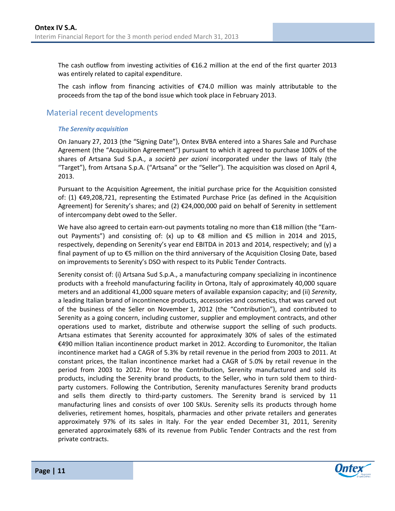The cash outflow from investing activities of €16.2 million at the end of the first quarter 2013 was entirely related to capital expenditure.

The cash inflow from financing activities of  $\epsilon$ 74.0 million was mainly attributable to the proceeds from the tap of the bond issue which took place in February 2013.

# <span id="page-11-0"></span>Material recent developments

#### *The Serenity acquisition*

On January 27, 2013 (the "Signing Date"), Ontex BVBA entered into a Shares Sale and Purchase Agreement (the "Acquisition Agreement") pursuant to which it agreed to purchase 100% of the shares of Artsana Sud S.p.A., a *società per azioni* incorporated under the laws of Italy (the "Target"), from Artsana S.p.A. ("Artsana" or the "Seller"). The acquisition was closed on April 4, 2013.

Pursuant to the Acquisition Agreement, the initial purchase price for the Acquisition consisted of: (1) €49,208,721, representing the Estimated Purchase Price (as defined in the Acquisition Agreement) for Serenity's shares; and (2) €24,000,000 paid on behalf of Serenity in settlement of intercompany debt owed to the Seller.

We have also agreed to certain earn-out payments totaling no more than €18 million (the "Earnout Payments") and consisting of: (x) up to €8 million and €5 million in 2014 and 2015, respectively, depending on Serenity's year end EBITDA in 2013 and 2014, respectively; and (y) a final payment of up to €5 million on the third anniversary of the Acquisition Closing Date, based on improvements to Serenity's DSO with respect to its Public Tender Contracts.

Serenity consist of: (i) Artsana Sud S.p.A., a manufacturing company specializing in incontinence products with a freehold manufacturing facility in Ortona, Italy of approximately 40,000 square meters and an additional 41,000 square meters of available expansion capacity; and (ii) *Serenity*, a leading Italian brand of incontinence products, accessories and cosmetics, that was carved out of the business of the Seller on November 1, 2012 (the "Contribution"), and contributed to Serenity as a going concern, including customer, supplier and employment contracts, and other operations used to market, distribute and otherwise support the selling of such products. Artsana estimates that Serenity accounted for approximately 30% of sales of the estimated €490 million Italian incontinence product market in 2012. According to Euromonitor, the Italian incontinence market had a CAGR of 5.3% by retail revenue in the period from 2003 to 2011. At constant prices, the Italian incontinence market had a CAGR of 5.0% by retail revenue in the period from 2003 to 2012. Prior to the Contribution, Serenity manufactured and sold its products, including the Serenity brand products, to the Seller, who in turn sold them to thirdparty customers. Following the Contribution, Serenity manufactures Serenity brand products and sells them directly to third-party customers. The Serenity brand is serviced by 11 manufacturing lines and consists of over 100 SKUs. Serenity sells its products through home deliveries, retirement homes, hospitals, pharmacies and other private retailers and generates approximately 97% of its sales in Italy. For the year ended December 31, 2011, Serenity generated approximately 68% of its revenue from Public Tender Contracts and the rest from private contracts.

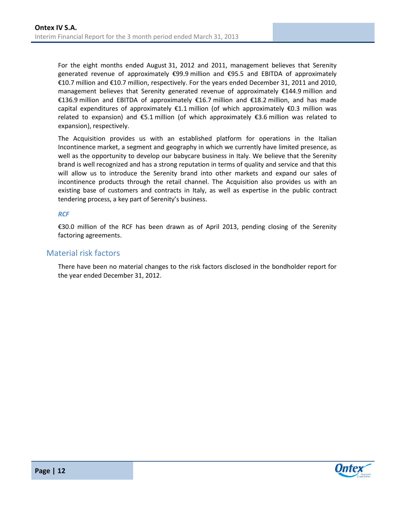For the eight months ended August 31, 2012 and 2011, management believes that Serenity generated revenue of approximately €99.9 million and €95.5 and EBITDA of approximately €10.7 million and €10.7 million, respectively. For the years ended December 31, 2011 and 2010, management believes that Serenity generated revenue of approximately €144.9 million and €136.9 million and EBITDA of approximately €16.7 million and €18.2 million, and has made capital expenditures of approximately  $\epsilon$ 1.1 million (of which approximately  $\epsilon$ 0.3 million was related to expansion) and €5.1 million (of which approximately €3.6 million was related to expansion), respectively.

The Acquisition provides us with an established platform for operations in the Italian Incontinence market, a segment and geography in which we currently have limited presence, as well as the opportunity to develop our babycare business in Italy. We believe that the Serenity brand is well recognized and has a strong reputation in terms of quality and service and that this will allow us to introduce the Serenity brand into other markets and expand our sales of incontinence products through the retail channel. The Acquisition also provides us with an existing base of customers and contracts in Italy, as well as expertise in the public contract tendering process, a key part of Serenity's business.

#### *RCF*

€30.0 million of the RCF has been drawn as of April 2013, pending closing of the Serenity factoring agreements.

### <span id="page-12-0"></span>Material risk factors

There have been no material changes to the risk factors disclosed in the bondholder report for the year ended December 31, 2012.

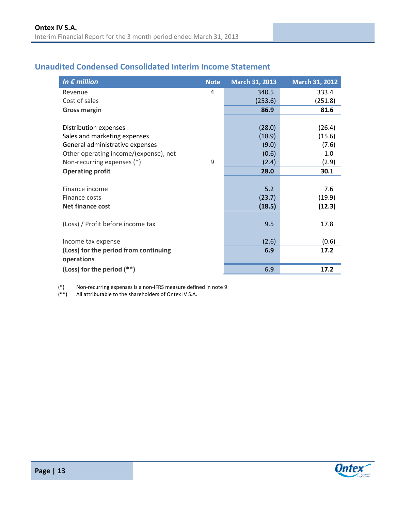# <span id="page-13-0"></span>**Unaudited Condensed Consolidated Interim Income Statement**

| In $\epsilon$ million                 | <b>Note</b> | <b>March 31, 2013</b> | <b>March 31, 2012</b> |
|---------------------------------------|-------------|-----------------------|-----------------------|
| Revenue                               | 4           | 340.5                 | 333.4                 |
| Cost of sales                         |             | (253.6)               | (251.8)               |
| <b>Gross margin</b>                   |             | 86.9                  | 81.6                  |
|                                       |             |                       |                       |
| Distribution expenses                 |             | (28.0)                | (26.4)                |
| Sales and marketing expenses          |             | (18.9)                | (15.6)                |
| General administrative expenses       |             | (9.0)                 | (7.6)                 |
| Other operating income/(expense), net |             | (0.6)                 | 1.0                   |
| Non-recurring expenses (*)            | 9           | (2.4)                 | (2.9)                 |
| <b>Operating profit</b>               |             | 28.0                  | 30.1                  |
|                                       |             |                       |                       |
| Finance income                        |             | 5.2                   | 7.6                   |
| Finance costs                         |             | (23.7)                | (19.9)                |
| <b>Net finance cost</b>               |             | (18.5)                | (12.3)                |
|                                       |             |                       |                       |
| (Loss) / Profit before income tax     |             | 9.5                   | 17.8                  |
|                                       |             |                       |                       |
| Income tax expense                    |             | (2.6)                 | (0.6)                 |
| (Loss) for the period from continuing |             | 6.9                   | 17.2                  |
| operations                            |             |                       |                       |
| (Loss) for the period $(**)$          |             | 6.9                   | 17.2                  |

(\*) Non-recurring expenses is a non-IFRS measure defined in note 9<br>(\*\*) All attributable to the shareholders of Ontex IV S.A.

All attributable to the shareholders of Ontex IV S.A.

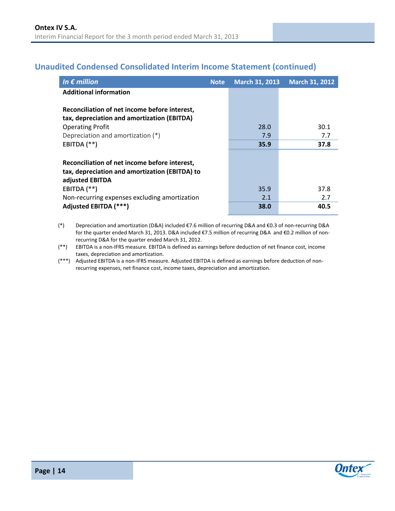# <span id="page-14-0"></span>**Unaudited Condensed Consolidated Interim Income Statement (continued)**

| In $\epsilon$ million                                                                                              | <b>Note</b> | <b>March 31, 2013</b> | <b>March 31, 2012</b> |
|--------------------------------------------------------------------------------------------------------------------|-------------|-----------------------|-----------------------|
| <b>Additional information</b>                                                                                      |             |                       |                       |
| Reconciliation of net income before interest,<br>tax, depreciation and amortization (EBITDA)                       |             |                       |                       |
| <b>Operating Profit</b>                                                                                            |             | 28.0                  | 30.1                  |
| Depreciation and amortization (*)                                                                                  |             | 7.9                   | 7.7                   |
| EBITDA (**)                                                                                                        |             | 35.9                  | 37.8                  |
| Reconciliation of net income before interest,<br>tax, depreciation and amortization (EBITDA) to<br>adjusted EBITDA |             |                       |                       |
| EBITDA $(**)$                                                                                                      |             | 35.9                  | 37.8                  |
| Non-recurring expenses excluding amortization                                                                      |             | 2.1                   | 2.7                   |
| Adjusted EBITDA (***)                                                                                              |             | 38.0                  | 40.5                  |

(\*) Depreciation and amortization (D&A) included €7.6 million of recurring D&A and €0.3 of non-recurring D&A for the quarter ended March 31, 2013. D&A included €7.5 million of recurring D&A and €0.2 million of nonrecurring D&A for the quarter ended March 31, 2012.

(\*\*) EBITDA is a non-IFRS measure. EBITDA is defined as earnings before deduction of net finance cost, income taxes, depreciation and amortization.

(\*\*\*) Adjusted EBITDA is a non-IFRS measure. Adjusted EBITDA is defined as earnings before deduction of nonrecurring expenses, net finance cost, income taxes, depreciation and amortization.

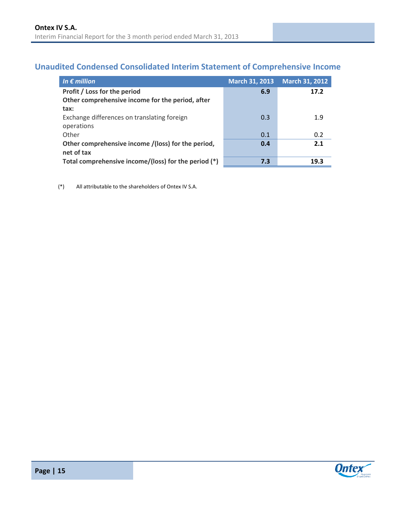# <span id="page-15-0"></span>**Unaudited Condensed Consolidated Interim Statement of Comprehensive Income**

| In $\epsilon$ million                                                            | <b>March 31, 2013</b> | <b>March 31, 2012</b> |
|----------------------------------------------------------------------------------|-----------------------|-----------------------|
| Profit / Loss for the period<br>Other comprehensive income for the period, after | 6.9                   | 17.2                  |
| tax:                                                                             |                       |                       |
| Exchange differences on translating foreign                                      | 0.3                   | 1.9                   |
| operations                                                                       |                       |                       |
| Other                                                                            | 0.1                   | 0.2                   |
| Other comprehensive income /(loss) for the period,                               | 0.4                   | 2.1                   |
| net of tax                                                                       |                       |                       |
| Total comprehensive income/(loss) for the period (*)                             | 7.3                   | 19.3                  |

(\*) All attributable to the shareholders of Ontex IV S.A.

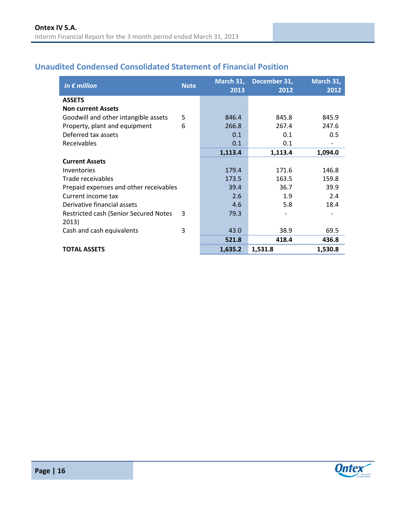# <span id="page-16-0"></span>**Unaudited Condensed Consolidated Statement of Financial Position**

| In $\epsilon$ million                  | <b>Note</b> | March 31,<br>2013 | December 31,<br>2012 | March 31,<br>2012 |
|----------------------------------------|-------------|-------------------|----------------------|-------------------|
| <b>ASSETS</b>                          |             |                   |                      |                   |
| <b>Non current Assets</b>              |             |                   |                      |                   |
| Goodwill and other intangible assets   | 5           | 846.4             | 845.8                | 845.9             |
| Property, plant and equipment          | 6           | 266.8             | 267.4                | 247.6             |
| Deferred tax assets                    |             | 0.1               | 0.1                  | 0.5               |
| <b>Receivables</b>                     |             | 0.1               | 0.1                  |                   |
|                                        |             | 1,113.4           | 1,113.4              | 1,094.0           |
| <b>Current Assets</b>                  |             |                   |                      |                   |
| Inventories                            |             | 179.4             | 171.6                | 146.8             |
| Trade receivables                      |             | 173.5             | 163.5                | 159.8             |
| Prepaid expenses and other receivables |             | 39.4              | 36.7                 | 39.9              |
| Current income tax                     |             | 2.6               | 1.9                  | 2.4               |
| Derivative financial assets            |             | 4.6               | 5.8                  | 18.4              |
| Restricted cash (Senior Secured Notes  | 3           | 79.3              |                      |                   |
| 2013)                                  |             |                   |                      |                   |
| Cash and cash equivalents              | 3           | 43.0              | 38.9                 | 69.5              |
|                                        |             | 521.8             | 418.4                | 436.8             |
| <b>TOTAL ASSETS</b>                    |             | 1,635.2           | 1,531.8              | 1,530.8           |

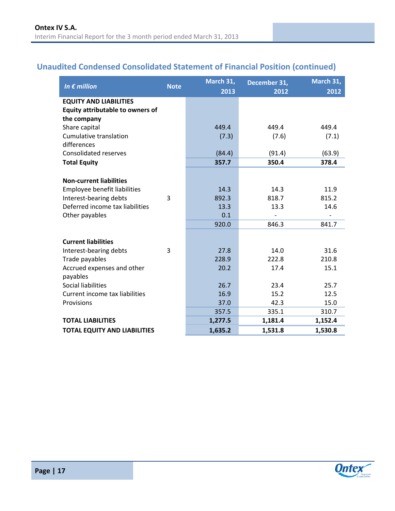# **Unaudited Condensed Consolidated Statement of Financial Position (continued)**

| In $\epsilon$ million                                                    | <b>Note</b> | March 31,<br>2013 | December 31,<br>2012 | March 31,<br>2012 |
|--------------------------------------------------------------------------|-------------|-------------------|----------------------|-------------------|
| <b>EQUITY AND LIABILITIES</b><br><b>Equity attributable to owners of</b> |             |                   |                      |                   |
|                                                                          |             |                   |                      |                   |
| the company                                                              |             |                   |                      |                   |
| Share capital                                                            |             | 449.4             | 449.4                | 449.4             |
| <b>Cumulative translation</b>                                            |             | (7.3)             | (7.6)                | (7.1)             |
| differences                                                              |             |                   |                      |                   |
| <b>Consolidated reserves</b>                                             |             | (84.4)            | (91.4)               | (63.9)            |
| <b>Total Equity</b>                                                      |             | 357.7             | 350.4                | 378.4             |
|                                                                          |             |                   |                      |                   |
| <b>Non-current liabilities</b>                                           |             |                   |                      |                   |
| Employee benefit liabilities                                             |             | 14.3              | 14.3                 | 11.9              |
| Interest-bearing debts                                                   | 3           | 892.3             | 818.7                | 815.2             |
| Deferred income tax liabilities                                          |             | 13.3              | 13.3                 | 14.6              |
| Other payables                                                           |             | 0.1               |                      |                   |
|                                                                          |             | 920.0             | 846.3                | 841.7             |
|                                                                          |             |                   |                      |                   |
| <b>Current liabilities</b>                                               |             |                   |                      |                   |
| Interest-bearing debts                                                   | 3           | 27.8              | 14.0                 | 31.6              |
| Trade payables                                                           |             | 228.9             | 222.8                | 210.8             |
| Accrued expenses and other                                               |             | 20.2              | 17.4                 | 15.1              |
| payables                                                                 |             |                   |                      |                   |
| <b>Social liabilities</b>                                                |             | 26.7              | 23.4                 | 25.7              |
| Current income tax liabilities                                           |             | 16.9              | 15.2                 | 12.5              |
| Provisions                                                               |             | 37.0              | 42.3                 | 15.0              |
|                                                                          |             | 357.5             | 335.1                | 310.7             |
| <b>TOTAL LIABILITIES</b>                                                 |             | 1,277.5           | 1,181.4              | 1,152.4           |
| <b>TOTAL EQUITY AND LIABILITIES</b>                                      |             | 1,635.2           | 1,531.8              | 1,530.8           |

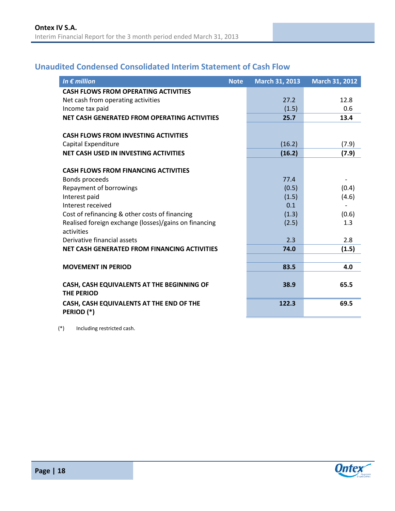# <span id="page-18-0"></span>**Unaudited Condensed Consolidated Interim Statement of Cash Flow**

| In $\epsilon$ million                                 | <b>Note</b> | <b>March 31, 2013</b> | <b>March 31, 2012</b> |
|-------------------------------------------------------|-------------|-----------------------|-----------------------|
| <b>CASH FLOWS FROM OPERATING ACTIVITIES</b>           |             |                       |                       |
| Net cash from operating activities                    |             | 27.2                  | 12.8                  |
| Income tax paid                                       |             | (1.5)                 | 0.6                   |
| NET CASH GENERATED FROM OPERATING ACTIVITIES          |             | 25.7                  | 13.4                  |
|                                                       |             |                       |                       |
| <b>CASH FLOWS FROM INVESTING ACTIVITIES</b>           |             |                       |                       |
| Capital Expenditure                                   |             | (16.2)                | (7.9)                 |
| NET CASH USED IN INVESTING ACTIVITIES                 |             | (16.2)                | (7.9)                 |
|                                                       |             |                       |                       |
| <b>CASH FLOWS FROM FINANCING ACTIVITIES</b>           |             |                       |                       |
| Bonds proceeds                                        |             | 77.4                  |                       |
| Repayment of borrowings                               |             | (0.5)                 | (0.4)                 |
| Interest paid                                         |             | (1.5)                 | (4.6)                 |
| Interest received                                     |             | 0.1                   |                       |
| Cost of refinancing & other costs of financing        |             | (1.3)                 | (0.6)                 |
| Realised foreign exchange (losses)/gains on financing |             | (2.5)                 | 1.3                   |
| activities                                            |             |                       |                       |
| Derivative financial assets                           |             | 2.3                   | 2.8                   |
| NET CASH GENERATED FROM FINANCING ACTIVITIES          |             | 74.0                  | (1.5)                 |
|                                                       |             |                       |                       |
| <b>MOVEMENT IN PERIOD</b>                             |             | 83.5                  | 4.0                   |
|                                                       |             |                       |                       |
| CASH, CASH EQUIVALENTS AT THE BEGINNING OF            |             | 38.9                  | 65.5                  |
| <b>THE PERIOD</b>                                     |             |                       |                       |
| CASH, CASH EQUIVALENTS AT THE END OF THE              |             | 122.3                 | 69.5                  |
| PERIOD (*)                                            |             |                       |                       |

(\*) Including restricted cash.

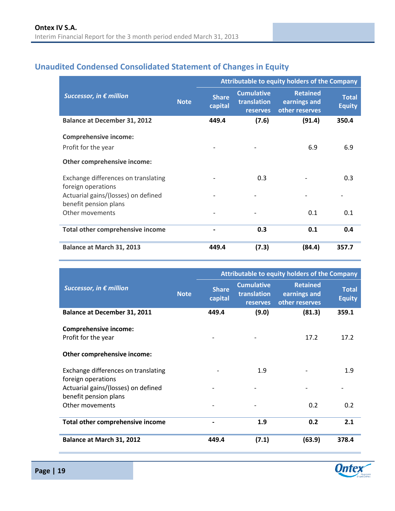# <span id="page-19-0"></span>**Unaudited Condensed Consolidated Statement of Changes in Equity**

|                                                              |             | Attributable to equity holders of the Company |                                                     |                                                   |                               |  |
|--------------------------------------------------------------|-------------|-----------------------------------------------|-----------------------------------------------------|---------------------------------------------------|-------------------------------|--|
| Successor, in € million                                      | <b>Note</b> | <b>Share</b><br>capital                       | <b>Cumulative</b><br>translation<br><b>reserves</b> | <b>Retained</b><br>earnings and<br>other reserves | <b>Total</b><br><b>Equity</b> |  |
| <b>Balance at December 31, 2012</b>                          |             | 449.4                                         | (7.6)                                               | (91.4)                                            | 350.4                         |  |
| <b>Comprehensive income:</b><br>Profit for the year          |             |                                               |                                                     | 6.9                                               | 6.9                           |  |
| Other comprehensive income:                                  |             |                                               |                                                     |                                                   |                               |  |
| Exchange differences on translating<br>foreign operations    |             |                                               | 0.3                                                 |                                                   | 0.3                           |  |
| Actuarial gains/(losses) on defined<br>benefit pension plans |             |                                               |                                                     |                                                   |                               |  |
| Other movements                                              |             |                                               |                                                     | 0.1                                               | 0.1                           |  |
| Total other comprehensive income                             |             |                                               | 0.3                                                 | 0.1                                               | 0.4                           |  |
| Balance at March 31, 2013                                    |             | 449.4                                         | (7.3)                                               | (84.4)                                            | 357.7                         |  |

|                                                              | Attributable to equity holders of the Company |                         |                                                     |                                                   |                               |  |
|--------------------------------------------------------------|-----------------------------------------------|-------------------------|-----------------------------------------------------|---------------------------------------------------|-------------------------------|--|
| Successor, in $\epsilon$ million                             | <b>Note</b>                                   | <b>Share</b><br>capital | <b>Cumulative</b><br>translation<br><b>reserves</b> | <b>Retained</b><br>earnings and<br>other reserves | <b>Total</b><br><b>Equity</b> |  |
| <b>Balance at December 31, 2011</b>                          |                                               | 449.4                   | (9.0)                                               | (81.3)                                            | 359.1                         |  |
| <b>Comprehensive income:</b><br>Profit for the year          |                                               |                         |                                                     | 17.2                                              | 17.2                          |  |
| Other comprehensive income:                                  |                                               |                         |                                                     |                                                   |                               |  |
| Exchange differences on translating<br>foreign operations    |                                               |                         | 1.9                                                 |                                                   | 1.9                           |  |
| Actuarial gains/(losses) on defined<br>benefit pension plans |                                               |                         |                                                     |                                                   |                               |  |
| Other movements                                              |                                               |                         |                                                     | 0.2                                               | 0.2                           |  |
| Total other comprehensive income                             |                                               |                         | 1.9                                                 | 0.2                                               | 2.1                           |  |
| Balance at March 31, 2012                                    |                                               | 449.4                   | (7.1)                                               | (63.9)                                            | 378.4                         |  |

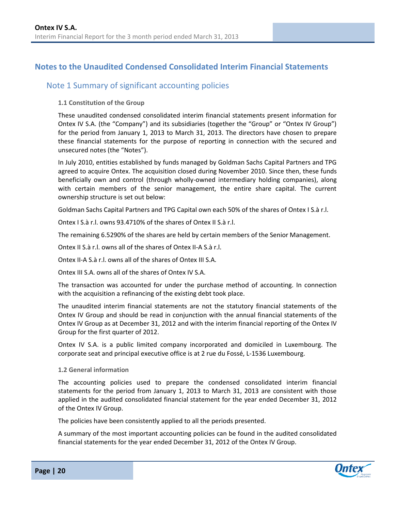# <span id="page-20-0"></span>**Notes to the Unaudited Condensed Consolidated Interim Financial Statements**

### <span id="page-20-1"></span>Note 1 Summary of significant accounting policies

#### **1.1 Constitution of the Group**

These unaudited condensed consolidated interim financial statements present information for Ontex IV S.A. (the "Company") and its subsidiaries (together the "Group" or "Ontex IV Group") for the period from January 1, 2013 to March 31, 2013. The directors have chosen to prepare these financial statements for the purpose of reporting in connection with the secured and unsecured notes (the "Notes").

In July 2010, entities established by funds managed by Goldman Sachs Capital Partners and TPG agreed to acquire Ontex. The acquisition closed during November 2010. Since then, these funds beneficially own and control (through wholly-owned intermediary holding companies), along with certain members of the senior management, the entire share capital. The current ownership structure is set out below:

Goldman Sachs Capital Partners and TPG Capital own each 50% of the shares of Ontex I S.à r.l.

Ontex I S.à r.l. owns 93.4710% of the shares of Ontex II S.à r.l.

The remaining 6.5290% of the shares are held by certain members of the Senior Management.

Ontex II S.à r.l. owns all of the shares of Ontex II-A S.à r.l.

Ontex II-A S.à r.l. owns all of the shares of Ontex III S.A.

Ontex III S.A. owns all of the shares of Ontex IV S.A.

The transaction was accounted for under the purchase method of accounting. In connection with the acquisition a refinancing of the existing debt took place.

The unaudited interim financial statements are not the statutory financial statements of the Ontex IV Group and should be read in conjunction with the annual financial statements of the Ontex IV Group as at December 31, 2012 and with the interim financial reporting of the Ontex IV Group for the first quarter of 2012.

Ontex IV S.A. is a public limited company incorporated and domiciled in Luxembourg. The corporate seat and principal executive office is at 2 rue du Fossé, L-1536 Luxembourg.

#### **1.2 General information**

The accounting policies used to prepare the condensed consolidated interim financial statements for the period from January 1, 2013 to March 31, 2013 are consistent with those applied in the audited consolidated financial statement for the year ended December 31, 2012 of the Ontex IV Group.

The policies have been consistently applied to all the periods presented.

A summary of the most important accounting policies can be found in the audited consolidated financial statements for the year ended December 31, 2012 of the Ontex IV Group.

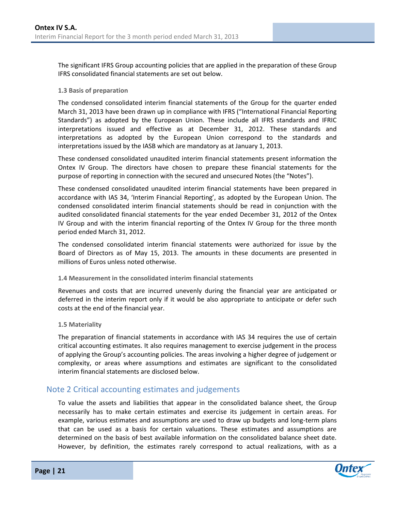The significant IFRS Group accounting policies that are applied in the preparation of these Group IFRS consolidated financial statements are set out below.

#### **1.3 Basis of preparation**

The condensed consolidated interim financial statements of the Group for the quarter ended March 31, 2013 have been drawn up in compliance with IFRS ("International Financial Reporting Standards") as adopted by the European Union. These include all IFRS standards and IFRIC interpretations issued and effective as at December 31, 2012. These standards and interpretations as adopted by the European Union correspond to the standards and interpretations issued by the IASB which are mandatory as at January 1, 2013.

These condensed consolidated unaudited interim financial statements present information the Ontex IV Group. The directors have chosen to prepare these financial statements for the purpose of reporting in connection with the secured and unsecured Notes (the "Notes").

These condensed consolidated unaudited interim financial statements have been prepared in accordance with IAS 34, 'Interim Financial Reporting', as adopted by the European Union. The condensed consolidated interim financial statements should be read in conjunction with the audited consolidated financial statements for the year ended December 31, 2012 of the Ontex IV Group and with the interim financial reporting of the Ontex IV Group for the three month period ended March 31, 2012.

The condensed consolidated interim financial statements were authorized for issue by the Board of Directors as of May 15, 2013. The amounts in these documents are presented in millions of Euros unless noted otherwise.

#### **1.4 Measurement in the consolidated interim financial statements**

Revenues and costs that are incurred unevenly during the financial year are anticipated or deferred in the interim report only if it would be also appropriate to anticipate or defer such costs at the end of the financial year.

#### **1.5 Materiality**

The preparation of financial statements in accordance with IAS 34 requires the use of certain critical accounting estimates. It also requires management to exercise judgement in the process of applying the Group's accounting policies. The areas involving a higher degree of judgement or complexity, or areas where assumptions and estimates are significant to the consolidated interim financial statements are disclosed below.

## <span id="page-21-0"></span>Note 2 Critical accounting estimates and judgements

To value the assets and liabilities that appear in the consolidated balance sheet, the Group necessarily has to make certain estimates and exercise its judgement in certain areas. For example, various estimates and assumptions are used to draw up budgets and long-term plans that can be used as a basis for certain valuations. These estimates and assumptions are determined on the basis of best available information on the consolidated balance sheet date. However, by definition, the estimates rarely correspond to actual realizations, with as a

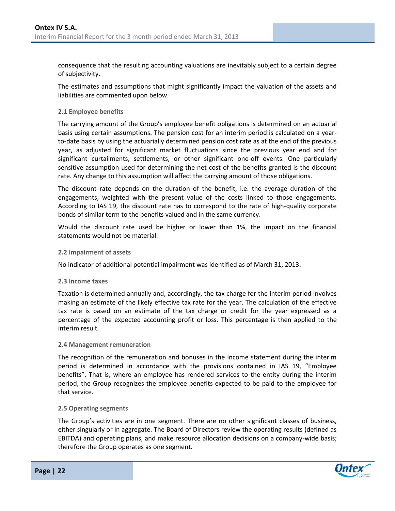consequence that the resulting accounting valuations are inevitably subject to a certain degree of subjectivity.

The estimates and assumptions that might significantly impact the valuation of the assets and liabilities are commented upon below.

#### **2.1 Employee benefits**

The carrying amount of the Group's employee benefit obligations is determined on an actuarial basis using certain assumptions. The pension cost for an interim period is calculated on a yearto-date basis by using the actuarially determined pension cost rate as at the end of the previous year, as adjusted for significant market fluctuations since the previous year end and for significant curtailments, settlements, or other significant one-off events. One particularly sensitive assumption used for determining the net cost of the benefits granted is the discount rate. Any change to this assumption will affect the carrying amount of those obligations.

The discount rate depends on the duration of the benefit, i.e. the average duration of the engagements, weighted with the present value of the costs linked to those engagements. According to IAS 19, the discount rate has to correspond to the rate of high-quality corporate bonds of similar term to the benefits valued and in the same currency.

Would the discount rate used be higher or lower than 1%, the impact on the financial statements would not be material.

#### **2.2 Impairment of assets**

No indicator of additional potential impairment was identified as of March 31, 2013.

#### **2.3 Income taxes**

Taxation is determined annually and, accordingly, the tax charge for the interim period involves making an estimate of the likely effective tax rate for the year. The calculation of the effective tax rate is based on an estimate of the tax charge or credit for the year expressed as a percentage of the expected accounting profit or loss. This percentage is then applied to the interim result.

#### **2.4 Management remuneration**

The recognition of the remuneration and bonuses in the income statement during the interim period is determined in accordance with the provisions contained in IAS 19, "Employee benefits". That is, where an employee has rendered services to the entity during the interim period, the Group recognizes the employee benefits expected to be paid to the employee for that service.

#### **2.5 Operating segments**

The Group's activities are in one segment. There are no other significant classes of business, either singularly or in aggregate. The Board of Directors review the operating results (defined as EBITDA) and operating plans, and make resource allocation decisions on a company-wide basis; therefore the Group operates as one segment.

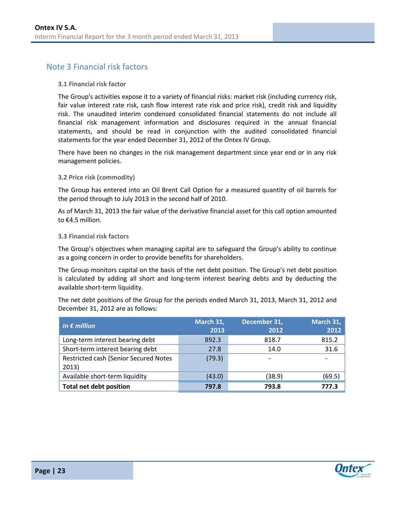# <span id="page-23-0"></span>Note 3 Financial risk factors

#### **3.1 Financial risk factor**

The Group's activities expose it to a variety of financial risks: market risk (including currency risk, fair value interest rate risk, cash flow interest rate risk and price risk), credit risk and liquidity risk. The unaudited interim condensed consolidated financial statements do not include all financial risk management information and disclosures required in the annual financial statements, and should be read in conjunction with the audited consolidated financial statements for the year ended December 31, 2012 of the Ontex IV Group.

There have been no changes in the risk management department since year end or in any risk management policies.

#### **3.2 Price risk (commodity)**

The Group has entered into an Oil Brent Call Option for a measured quantity of oil barrels for the period through to July 2013 in the second half of 2010.

As of March 31, 2013 the fair value of the derivative financial asset for this call option amounted to €4.5 million.

#### **3.3 Financial risk factors**

The Group's objectives when managing capital are to safeguard the Group's ability to continue as a going concern in order to provide benefits for shareholders.

The Group monitors capital on the basis of the net debt position. The Group's net debt position is calculated by adding all short and long-term interest bearing debts and by deducting the available short-term liquidity.

The net debt positions of the Group for the periods ended March 31, 2013, March 31, 2012 and December 31, 2012 are as follows:

| In $\epsilon$ million                          | March 31,<br>2013 | December 31,<br>2012 | March 31,<br>2012 |
|------------------------------------------------|-------------------|----------------------|-------------------|
| Long-term interest bearing debt                | 892.3             | 818.7                | 815.2             |
| Short-term interest bearing debt               | 27.8              | 14.0                 | 31.6              |
| Restricted cash (Senior Secured Notes<br>2013) | (79.3)            |                      |                   |
| Available short-term liquidity                 | (43.0)            | (38.9)               | (69.5)            |
| <b>Total net debt position</b>                 | 797.8             | 793.8                | 777.3             |

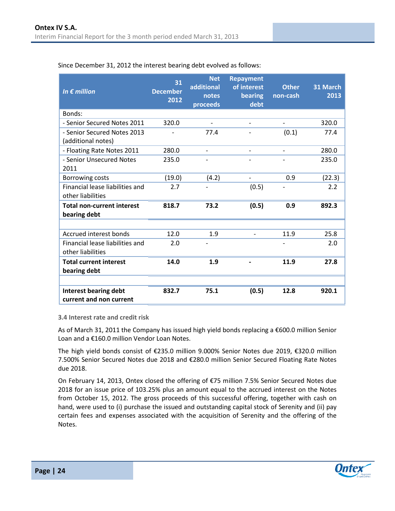| In $\epsilon$ million                                   | 31<br><b>December</b><br>2012 | <b>Net</b><br>additional<br>notes<br>proceeds | <b>Repayment</b><br>of interest<br>bearing<br>debt | <b>Other</b><br>non-cash | 31 March<br>2013 |
|---------------------------------------------------------|-------------------------------|-----------------------------------------------|----------------------------------------------------|--------------------------|------------------|
| Bonds:                                                  |                               |                                               |                                                    |                          |                  |
| - Senior Secured Notes 2011                             | 320.0                         |                                               |                                                    |                          | 320.0            |
| - Senior Secured Notes 2013<br>(additional notes)       |                               | 77.4                                          |                                                    | (0.1)                    | 77.4             |
| - Floating Rate Notes 2011                              | 280.0                         | $\overline{a}$                                |                                                    |                          | 280.0            |
| - Senior Unsecured Notes<br>2011                        | 235.0                         |                                               |                                                    |                          | 235.0            |
| Borrowing costs                                         | (19.0)                        | (4.2)                                         | $\overline{a}$                                     | 0.9                      | (22.3)           |
| Financial lease liabilities and<br>other liabilities    | 2.7                           |                                               | (0.5)                                              |                          | 2.2              |
| <b>Total non-current interest</b><br>bearing debt       | 818.7                         | 73.2                                          | (0.5)                                              | 0.9                      | 892.3            |
| Accrued interest bonds                                  | 12.0                          | 1.9                                           |                                                    | 11.9                     | 25.8             |
| Financial lease liabilities and<br>other liabilities    | 2.0                           |                                               |                                                    |                          | 2.0              |
| <b>Total current interest</b><br>bearing debt           | 14.0                          | 1.9                                           |                                                    | 11.9                     | 27.8             |
| <b>Interest bearing debt</b><br>current and non current | 832.7                         | 75.1                                          | (0.5)                                              | 12.8                     | 920.1            |
|                                                         |                               |                                               |                                                    |                          |                  |

Since December 31, 2012 the interest bearing debt evolved as follows:

**3.4 Interest rate and credit risk**

As of March 31, 2011 the Company has issued high yield bonds replacing a €600.0 million Senior Loan and a €160.0 million Vendor Loan Notes.

The high yield bonds consist of €235.0 million 9.000% Senior Notes due 2019, €320.0 million 7.500% Senior Secured Notes due 2018 and €280.0 million Senior Secured Floating Rate Notes due 2018.

On February 14, 2013, Ontex closed the offering of €75 million 7.5% Senior Secured Notes due 2018 for an issue price of 103.25% plus an amount equal to the accrued interest on the Notes from October 15, 2012. The gross proceeds of this successful offering, together with cash on hand, were used to (i) purchase the issued and outstanding capital stock of Serenity and (ii) pay certain fees and expenses associated with the acquisition of Serenity and the offering of the Notes.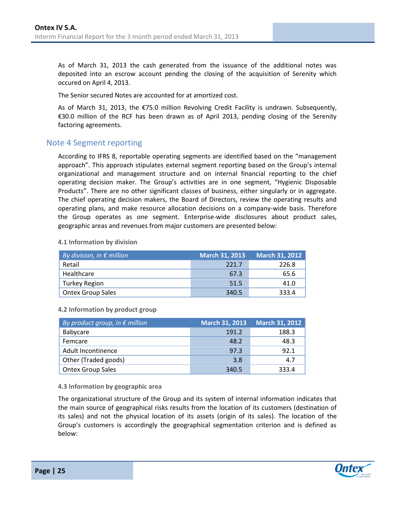As of March 31, 2013 the cash generated from the issuance of the additional notes was deposited into an escrow account pending the closing of the acquisition of Serenity which occured on April 4, 2013.

The Senior secured Notes are accounted for at amortized cost.

As of March 31, 2013, the €75.0 million Revolving Credit Facility is undrawn. Subsequently, €30.0 million of the RCF has been drawn as of April 2013, pending closing of the Serenity factoring agreements.

### <span id="page-25-0"></span>Note 4 Segment reporting

According to IFRS 8, reportable operating segments are identified based on the "management approach". This approach stipulates external segment reporting based on the Group's internal organizational and management structure and on internal financial reporting to the chief operating decision maker. The Group's activities are in one segment, "Hygienic Disposable Products". There are no other significant classes of business, either singularly or in aggregate. The chief operating decision makers, the Board of Directors, review the operating results and operating plans, and make resource allocation decisions on a company-wide basis. Therefore the Group operates as one segment. Enterprise-wide disclosures about product sales, geographic areas and revenues from major customers are presented below:

#### **4.1 Information by division**

| By division, in $\epsilon$ million | <b>March 31, 2013</b> | <b>March 31, 2012</b> |
|------------------------------------|-----------------------|-----------------------|
| Retail                             | 221.7                 | 226.8                 |
| Healthcare                         | 67.3                  | 65.6                  |
| <b>Turkey Region</b>               | 51.5                  | 41.0                  |
| <b>Ontex Group Sales</b>           | 340.5                 | 333.4                 |

#### **4.2 Information by product group**

| By product group, in $\epsilon$ million | <b>March 31, 2013</b> | <b>March 31, 2012</b> |
|-----------------------------------------|-----------------------|-----------------------|
| Babycare                                | 191.2                 | 188.3                 |
| Femcare                                 | 48.2                  | 48.3                  |
| Adult Incontinence                      | 97.3                  | 92.1                  |
| Other (Traded goods)                    | 3.8                   | 4.7                   |
| <b>Ontex Group Sales</b>                | 340.5                 | 333.4                 |

**4.3 Information by geographic area**

The organizational structure of the Group and its system of internal information indicates that the main source of geographical risks results from the location of its customers (destination of its sales) and not the physical location of its assets (origin of its sales). The location of the Group's customers is accordingly the geographical segmentation criterion and is defined as below:

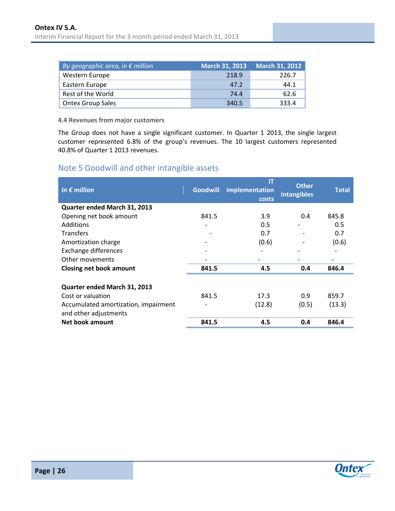| By geographic area, in $\epsilon$ million | <b>March 31, 2013</b> | <b>March 31, 2012</b> |
|-------------------------------------------|-----------------------|-----------------------|
| Western Europe                            | 218.9                 | 226.7                 |
| Eastern Europe                            | 47.2                  | 44.1                  |
| Rest of the World                         | 74.4                  | 62.6                  |
| <b>Ontex Group Sales</b>                  | 340.5                 | 333.4                 |

#### **4.4 Revenues from major customers**

The Group does not have a single significant customer. In Quarter 1 2013, the single largest customer represented 6.8% of the group's revenues. The 10 largest customers represented 40.8% of Quarter 1 2013 revenues.

# <span id="page-26-0"></span>Note 5 Goodwill and other intangible assets

| In $\epsilon$ million                                                                     | <b>Goodwill</b> | IT<br>implementation<br>costs | <b>Other</b><br>intangibles | <b>Total</b>    |
|-------------------------------------------------------------------------------------------|-----------------|-------------------------------|-----------------------------|-----------------|
| Quarter ended March 31, 2013                                                              |                 |                               |                             |                 |
| Opening net book amount                                                                   | 841.5           | 3.9                           | 0.4                         | 845.8           |
| Additions                                                                                 |                 | 0.5                           |                             | 0.5             |
| <b>Transfers</b>                                                                          |                 | 0.7                           |                             | 0.7             |
| Amortization charge                                                                       |                 | (0.6)                         |                             | (0.6)           |
| Exchange differences                                                                      |                 |                               |                             |                 |
| Other movements                                                                           |                 |                               |                             |                 |
| <b>Closing net book amount</b>                                                            | 841.5           | 4.5                           | 0.4                         | 846.4           |
| Quarter ended March 31, 2013<br>Cost or valuation<br>Accumulated amortization, impairment | 841.5           | 17.3<br>(12.8)                | 0.9<br>(0.5)                | 859.7<br>(13.3) |
| and other adjustments                                                                     |                 |                               |                             |                 |
| Net book amount                                                                           | 841.5           | 4.5                           | 0.4                         | 846.4           |

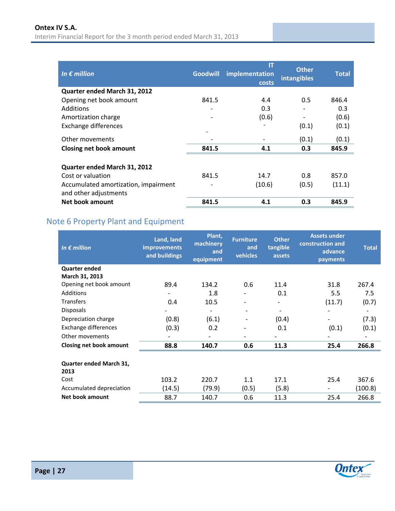| In $\epsilon$ million                                                                                              | <b>Goodwill</b> | IT<br>implementation<br>costs | <b>Other</b><br>intangibles  | <b>Total</b>    |
|--------------------------------------------------------------------------------------------------------------------|-----------------|-------------------------------|------------------------------|-----------------|
| Quarter ended March 31, 2012                                                                                       |                 |                               |                              |                 |
| Opening net book amount                                                                                            | 841.5           | 4.4                           | 0.5                          | 846.4           |
| <b>Additions</b>                                                                                                   |                 | 0.3                           |                              | 0.3             |
| Amortization charge                                                                                                | $\overline{a}$  | (0.6)                         | $\qquad \qquad \blacksquare$ | (0.6)           |
| Exchange differences                                                                                               |                 |                               | (0.1)                        | (0.1)           |
| Other movements                                                                                                    |                 |                               | (0.1)                        | (0.1)           |
| <b>Closing net book amount</b>                                                                                     | 841.5           | 4.1                           | 0.3                          | 845.9           |
| Quarter ended March 31, 2012<br>Cost or valuation<br>Accumulated amortization, impairment<br>and other adjustments | 841.5           | 14.7<br>(10.6)                | 0.8<br>(0.5)                 | 857.0<br>(11.1) |
| Net book amount                                                                                                    | 841.5           | 4.1                           | 0.3                          | 845.9           |

# <span id="page-27-0"></span>Note 6 Property Plant and Equipment

| In $\epsilon$ million          | Land, land<br><b>improvements</b><br>and buildings | Plant,<br>machinery<br>and<br>equipment | <b>Furniture</b><br>and<br>vehicles | <b>Other</b><br>tangible<br>assets | <b>Assets under</b><br>construction and<br>advance<br>payments | <b>Total</b> |
|--------------------------------|----------------------------------------------------|-----------------------------------------|-------------------------------------|------------------------------------|----------------------------------------------------------------|--------------|
| <b>Quarter ended</b>           |                                                    |                                         |                                     |                                    |                                                                |              |
| March 31, 2013                 |                                                    |                                         |                                     |                                    |                                                                |              |
| Opening net book amount        | 89.4                                               | 134.2                                   | 0.6                                 | 11.4                               | 31.8                                                           | 267.4        |
| Additions                      |                                                    | 1.8                                     |                                     | 0.1                                | 5.5                                                            | 7.5          |
| <b>Transfers</b>               | 0.4                                                | 10.5                                    |                                     |                                    | (11.7)                                                         | (0.7)        |
| <b>Disposals</b>               |                                                    | $\overline{\phantom{0}}$                |                                     | $\overline{\phantom{0}}$           |                                                                |              |
| Depreciation charge            | (0.8)                                              | (6.1)                                   | $\overline{\phantom{a}}$            | (0.4)                              |                                                                | (7.3)        |
| <b>Exchange differences</b>    | (0.3)                                              | 0.2                                     | $\qquad \qquad \blacksquare$        | 0.1                                | (0.1)                                                          | (0.1)        |
| Other movements                |                                                    | $\overline{a}$                          | $\qquad \qquad \blacksquare$        |                                    |                                                                |              |
| <b>Closing net book amount</b> | 88.8                                               | 140.7                                   | 0.6                                 | 11.3                               | 25.4                                                           | 266.8        |
| Quarter ended March 31,        |                                                    |                                         |                                     |                                    |                                                                |              |
| 2013                           |                                                    |                                         |                                     |                                    |                                                                |              |
| Cost                           | 103.2                                              | 220.7                                   | 1.1                                 | 17.1                               | 25.4                                                           | 367.6        |
| Accumulated depreciation       | (14.5)                                             | (79.9)                                  | (0.5)                               | (5.8)                              |                                                                | (100.8)      |
| <b>Net book amount</b>         | 88.7                                               | 140.7                                   | 0.6                                 | 11.3                               | 25.4                                                           | 266.8        |

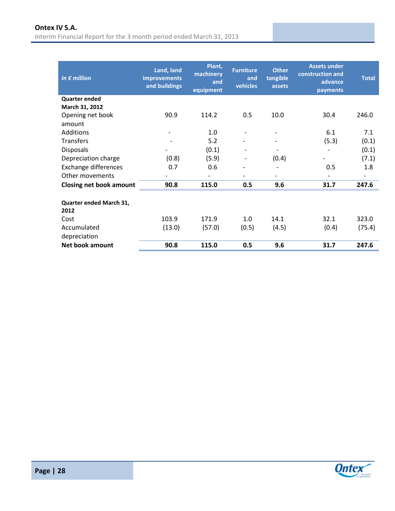| In $\epsilon$ million           | Land, land<br>improvements<br>and buildings | Plant,<br>machinery<br>and<br>equipment | <b>Furniture</b><br>and<br>vehicles | <b>Other</b><br>tangible<br>assets | <b>Assets under</b><br>construction and<br>advance<br>payments | <b>Total</b>             |
|---------------------------------|---------------------------------------------|-----------------------------------------|-------------------------------------|------------------------------------|----------------------------------------------------------------|--------------------------|
| <b>Quarter ended</b>            |                                             |                                         |                                     |                                    |                                                                |                          |
| March 31, 2012                  |                                             |                                         |                                     |                                    |                                                                |                          |
| Opening net book                | 90.9                                        | 114.2                                   | 0.5                                 | 10.0                               | 30.4                                                           | 246.0                    |
| amount                          |                                             |                                         |                                     |                                    |                                                                |                          |
| <b>Additions</b>                |                                             | 1.0                                     |                                     |                                    | 6.1                                                            | 7.1                      |
| <b>Transfers</b>                |                                             | 5.2                                     |                                     |                                    | (5.3)                                                          | (0.1)                    |
| <b>Disposals</b>                |                                             | (0.1)                                   |                                     |                                    |                                                                | (0.1)                    |
| Depreciation charge             | (0.8)                                       | (5.9)                                   |                                     | (0.4)                              |                                                                | (7.1)                    |
| <b>Exchange differences</b>     | 0.7                                         | 0.6                                     |                                     |                                    | 0.5                                                            | 1.8                      |
| Other movements                 |                                             |                                         |                                     |                                    |                                                                | $\overline{\phantom{0}}$ |
| <b>Closing net book amount</b>  | 90.8                                        | 115.0                                   | 0.5                                 | 9.6                                | 31.7                                                           | 247.6                    |
| Quarter ended March 31,<br>2012 |                                             |                                         |                                     |                                    |                                                                |                          |
| Cost                            | 103.9                                       | 171.9                                   | 1.0                                 | 14.1                               | 32.1                                                           | 323.0                    |
| Accumulated                     | (13.0)                                      | (57.0)                                  | (0.5)                               | (4.5)                              | (0.4)                                                          | (75.4)                   |
| depreciation                    |                                             |                                         |                                     |                                    |                                                                |                          |
| <b>Net book amount</b>          | 90.8                                        | 115.0                                   | 0.5                                 | 9.6                                | 31.7                                                           | 247.6                    |

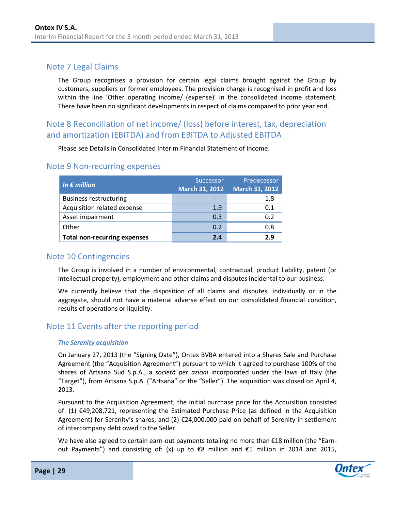# <span id="page-29-0"></span>Note 7 Legal Claims

The Group recognises a provision for certain legal claims brought against the Group by customers, suppliers or former employees. The provision charge is recognised in profit and loss within the line 'Other operating income/ (expense)' in the consolidated income statement. There have been no significant developments in respect of claims compared to prior year end.

# <span id="page-29-1"></span>Note 8 Reconciliation of net income/ (loss) before interest, tax, depreciation and amortization (EBITDA) and from EBITDA to Adjusted EBITDA

Please see Details in Consolidated Interim Financial Statement of Income.

### <span id="page-29-2"></span>Note 9 Non-recurring expenses

| In $\epsilon$ million               | Successor<br><b>March 31, 2012</b> | Predecessor<br><b>March 31, 2012</b> |
|-------------------------------------|------------------------------------|--------------------------------------|
| <b>Business restructuring</b>       |                                    | 1.8                                  |
| Acquisition related expense         | 1.9                                | 0.1                                  |
| Asset impairment                    | 0.3                                | 0.2                                  |
| Other                               | 0.2                                | 0.8                                  |
| <b>Total non-recurring expenses</b> | 2.4                                | 2.9                                  |

### <span id="page-29-3"></span>Note 10 Contingencies

The Group is involved in a number of environmental, contractual, product liability, patent (or intellectual property), employment and other claims and disputes incidental to our business.

We currently believe that the disposition of all claims and disputes, individually or in the aggregate, should not have a material adverse effect on our consolidated financial condition, results of operations or liquidity.

## <span id="page-29-4"></span>Note 11 Events after the reporting period

#### *The Serenity acquisition*

On January 27, 2013 (the "Signing Date"), Ontex BVBA entered into a Shares Sale and Purchase Agreement (the "Acquisition Agreement") pursuant to which it agreed to purchase 100% of the shares of Artsana Sud S.p.A., a *società per azioni* incorporated under the laws of Italy (the "Target"), from Artsana S.p.A. ("Artsana" or the "Seller"). The acquisition was closed on April 4, 2013.

Pursuant to the Acquisition Agreement, the initial purchase price for the Acquisition consisted of: (1) €49,208,721, representing the Estimated Purchase Price (as defined in the Acquisition Agreement) for Serenity's shares; and (2) €24,000,000 paid on behalf of Serenity in settlement of intercompany debt owed to the Seller.

We have also agreed to certain earn-out payments totaling no more than €18 million (the "Earnout Payments") and consisting of: (x) up to €8 million and €5 million in 2014 and 2015,